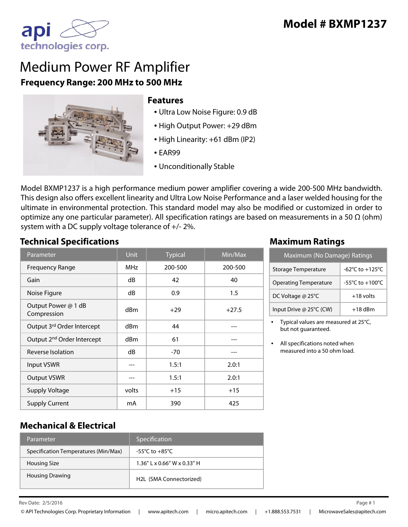

# Medium Power RF Amplifier **Frequency Range: 200 MHz to 500 MHz**



#### **Features**

- Ultra Low Noise Figure: 0.9 dB
- High Output Power: +29 dBm
- High Linearity: +61 dBm (IP2)
- EAR99
- Unconditionally Stable

Model BXMP1237 is a high performance medium power amplifier covering a wide 200-500 MHz bandwidth. This design also offers excellent linearity and Ultra Low Noise Performance and a laser welded housing for the ultimate in environmental protection. This standard model may also be modified or customized in order to optimize any one particular parameter). All specification ratings are based on measurements in a 50  $\Omega$  (ohm) system with a DC supply voltage tolerance of +/- 2%.

#### **Technical Specifications Maximum Ratings**

| Parameter                              | <b>Unit</b>     | <b>Typical</b> | Min/Max |
|----------------------------------------|-----------------|----------------|---------|
| <b>Frequency Range</b>                 | <b>MHz</b>      | 200-500        | 200-500 |
| Gain                                   | dB              | 42             | 40      |
| Noise Figure                           | dB              | 0.9            | 1.5     |
| Output Power @ 1 dB<br>Compression     | dBm             | $+29$          | $+27.5$ |
| Output 3rd Order Intercept             | d <sub>Bm</sub> | 44             |         |
| Output 2 <sup>nd</sup> Order Intercept | dBm             | 61             |         |
| Reverse Isolation                      | dB              | $-70$          |         |
| <b>Input VSWR</b>                      |                 | 1.5:1          | 2.0:1   |
| <b>Output VSWR</b>                     |                 | 1.5:1          | 2.0:1   |
| <b>Supply Voltage</b>                  | volts           | $+15$          | $+15$   |
| <b>Supply Current</b>                  | mA              | 390            | 425     |

| Maximum (No Damage) Ratings  |                 |  |
|------------------------------|-----------------|--|
| <b>Storage Temperature</b>   | -62°C to +125°C |  |
| <b>Operating Temperature</b> | -55°C to +100°C |  |
| DC Voltage @ 25°C            | $+18$ volts     |  |
| Input Drive @ 25°C (CW)      | $+18$ dBm       |  |

• Typical values are measured at 25°C, but not guaranteed.

All specifications noted when measured into a 50 ohm load.

### **Mechanical & Electrical**

| Parameter                            | Specification                  |
|--------------------------------------|--------------------------------|
| Specification Temperatures (Min/Max) | -55°C to $+85$ °C              |
| Housing Size                         | $1.36''$ L x 0.66" W x 0.33" H |
| <b>Housing Drawing</b>               | H2L (SMA Connectorized)        |

Rev Date: Page #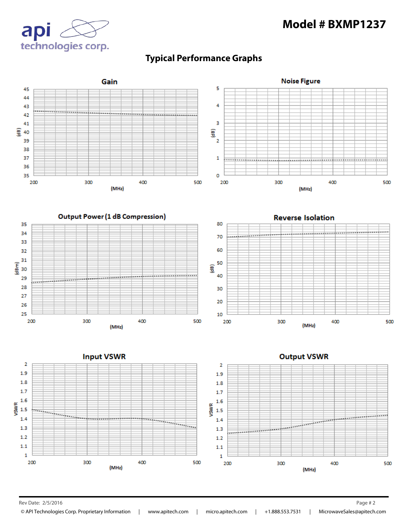## **Model # BXMP1237**





## **Typical Performance Graphs**

Rev Date: 2/5/2016 Page # 2

© API Technologies Corp. Proprietary Information | www.apitech.com | micro.apitech.com | +1.888.553.7531 | MicrowaveSales@apitech.com